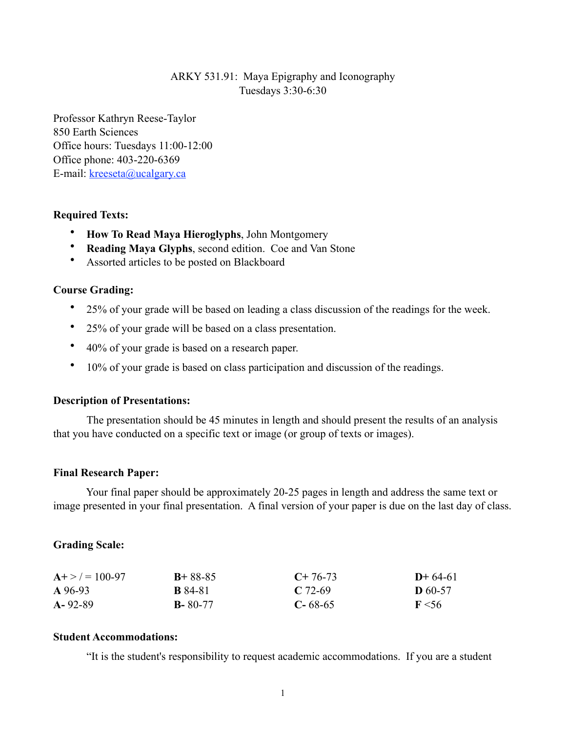## ARKY 531.91: Maya Epigraphy and Iconography Tuesdays 3:30-6:30

Professor Kathryn Reese-Taylor 850 Earth Sciences Office hours: Tuesdays 11:00-12:00 Office phone: 403-220-6369 E-mail: [kreeseta@ucalgary.ca](mailto:k_reesetaylor@yahoo.com)

### **Required Texts:**

- **How To Read Maya Hieroglyphs**, John Montgomery
- **Reading Maya Glyphs**, second edition. Coe and Van Stone
- Assorted articles to be posted on Blackboard

#### **Course Grading:**

- 25% of your grade will be based on leading a class discussion of the readings for the week.
- 25% of your grade will be based on a class presentation.
- 40% of your grade is based on a research paper.
- 10% of your grade is based on class participation and discussion of the readings.

#### **Description of Presentations:**

The presentation should be 45 minutes in length and should present the results of an analysis that you have conducted on a specific text or image (or group of texts or images).

#### **Final Research Paper:**

 Your final paper should be approximately 20-25 pages in length and address the same text or image presented in your final presentation. A final version of your paper is due on the last day of class.

#### **Grading Scale:**

| $A + > = 100-97$ | $B + 88 - 85$  | $C+76-73$     | $D+64-61$        |
|------------------|----------------|---------------|------------------|
| A 96-93          | <b>B</b> 84-81 | $C$ 72-69     | <b>D</b> 60-57   |
| $A - 92 - 89$    | $B - 80 - 77$  | $C - 68 - 65$ | $\mathbf{F}$ <56 |

#### **Student Accommodations:**

"It is the student's responsibility to request academic accommodations. If you are a student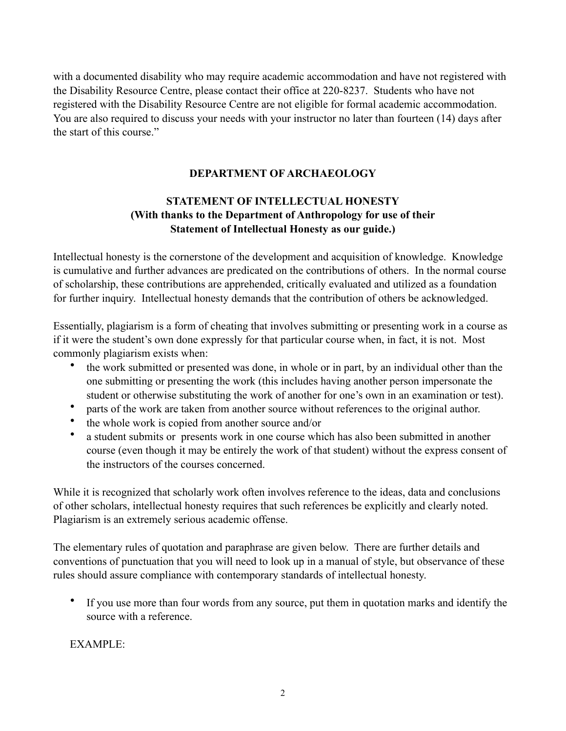with a documented disability who may require academic accommodation and have not registered with the Disability Resource Centre, please contact their office at 220-8237. Students who have not registered with the Disability Resource Centre are not eligible for formal academic accommodation. You are also required to discuss your needs with your instructor no later than fourteen (14) days after the start of this course."

## **DEPARTMENT OF ARCHAEOLOGY**

# **STATEMENT OF INTELLECTUAL HONESTY (With thanks to the Department of Anthropology for use of their Statement of Intellectual Honesty as our guide.)**

Intellectual honesty is the cornerstone of the development and acquisition of knowledge. Knowledge is cumulative and further advances are predicated on the contributions of others. In the normal course of scholarship, these contributions are apprehended, critically evaluated and utilized as a foundation for further inquiry. Intellectual honesty demands that the contribution of others be acknowledged.

Essentially, plagiarism is a form of cheating that involves submitting or presenting work in a course as if it were the student's own done expressly for that particular course when, in fact, it is not. Most commonly plagiarism exists when:

- the work submitted or presented was done, in whole or in part, by an individual other than the one submitting or presenting the work (this includes having another person impersonate the student or otherwise substituting the work of another for one's own in an examination or test).
- parts of the work are taken from another source without references to the original author.
- the whole work is copied from another source and/or
- a student submits or presents work in one course which has also been submitted in another course (even though it may be entirely the work of that student) without the express consent of the instructors of the courses concerned.

While it is recognized that scholarly work often involves reference to the ideas, data and conclusions of other scholars, intellectual honesty requires that such references be explicitly and clearly noted. Plagiarism is an extremely serious academic offense.

The elementary rules of quotation and paraphrase are given below. There are further details and conventions of punctuation that you will need to look up in a manual of style, but observance of these rules should assure compliance with contemporary standards of intellectual honesty.

• If you use more than four words from any source, put them in quotation marks and identify the source with a reference.

EXAMPLE: